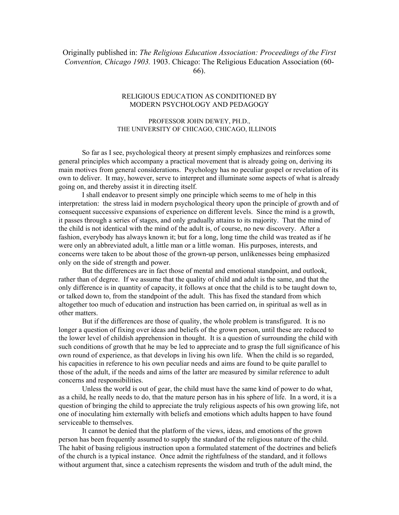## Originally published in: *The Religious Education Association: Proceedings of the First Convention, Chicago 1903.* 1903. Chicago: The Religious Education Association (60- 66).

## RELIGIOUS EDUCATION AS CONDITIONED BY MODERN PSYCHOLOGY AND PEDAGOGY

## PROFESSOR JOHN DEWEY, PH.D., THE UNIVERSITY OF CHICAGO, CHICAGO, ILLINOIS

 So far as I see, psychological theory at present simply emphasizes and reinforces some general principles which accompany a practical movement that is already going on, deriving its main motives from general considerations. Psychology has no peculiar gospel or revelation of its own to deliver. It may, however, serve to interpret and illuminate some aspects of what is already going on, and thereby assist it in directing itself.

 I shall endeavor to present simply one principle which seems to me of help in this interpretation: the stress laid in modern psychological theory upon the principle of growth and of consequent successive expansions of experience on different levels. Since the mind is a growth, it passes through a series of stages, and only gradually attains to its majority. That the mind of the child is not identical with the mind of the adult is, of course, no new discovery. After a fashion, everybody has always known it; but for a long, long time the child was treated as if he were only an abbreviated adult, a little man or a little woman. His purposes, interests, and concerns were taken to be about those of the grown-up person, unlikenesses being emphasized only on the side of strength and power.

 But the differences are in fact those of mental and emotional standpoint, and outlook, rather than of degree. If we assume that the quality of child and adult is the same, and that the only difference is in quantity of capacity, it follows at once that the child is to be taught down to, or talked down to, from the standpoint of the adult. This has fixed the standard from which altogether too much of education and instruction has been carried on, in spiritual as well as in other matters.

 But if the differences are those of quality, the whole problem is transfigured. It is no longer a question of fixing over ideas and beliefs of the grown person, until these are reduced to the lower level of childish apprehension in thought. It is a question of surrounding the child with such conditions of growth that he may be led to appreciate and to grasp the full significance of his own round of experience, as that develops in living his own life. When the child is so regarded, his capacities in reference to his own peculiar needs and aims are found to be quite parallel to those of the adult, if the needs and aims of the latter are measured by similar reference to adult concerns and responsibilities.

 Unless the world is out of gear, the child must have the same kind of power to do what, as a child, he really needs to do, that the mature person has in his sphere of life. In a word, it is a question of bringing the child to appreciate the truly religious aspects of his own growing life, not one of inoculating him externally with beliefs and emotions which adults happen to have found serviceable to themselves.

 It cannot be denied that the platform of the views, ideas, and emotions of the grown person has been frequently assumed to supply the standard of the religious nature of the child. The habit of basing religious instruction upon a formulated statement of the doctrines and beliefs of the church is a typical instance. Once admit the rightfulness of the standard, and it follows without argument that, since a catechism represents the wisdom and truth of the adult mind, the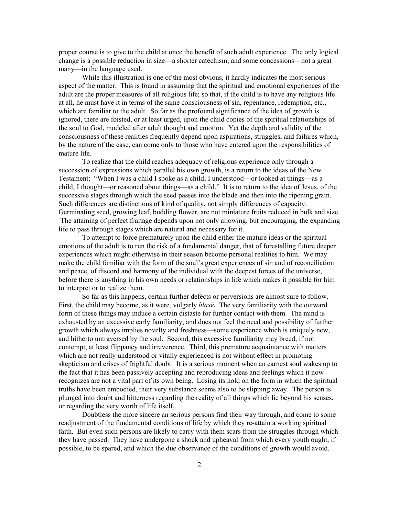proper course is to give to the child at once the benefit of such adult experience. The only logical change is a possible reduction in size—a shorter catechism, and some concessions—not a great many—in the language used.

While this illustration is one of the most obvious, it hardly indicates the most serious aspect of the matter. This is found in assuming that the spiritual and emotional experiences of the adult are the proper measures of all religious life; so that, if the child is to have any religious life at all, he must have it in terms of the same consciousness of sin, repentance, redemption, etc., which are familiar to the adult. So far as the profound significance of the idea of growth is ignored, there are foisted, or at least urged, upon the child copies of the spiritual relationships of the soul to God, modeled after adult thought and emotion. Yet the depth and validity of the consciousness of these realities frequently depend upon aspirations, struggles, and failures which, by the nature of the case, can come only to those who have entered upon the responsibilities of mature life.

To realize that the child reaches adequacy of religious experience only through a succession of expressions which parallel his own growth, is a return to the ideas of the New Testament: "When I was a child I spoke as a child; I understood—or looked at things—as a child; I thought—or reasoned about things—as a child." It is to return to the idea of Jesus, of the successive stages through which the seed passes into the blade and then into the ripening grain. Such differences are distinctions of kind of quality, not simply differences of capacity. Germinating seed, growing leaf, budding flower, are not miniature fruits reduced in bulk and size. The attaining of perfect fruitage depends upon not only allowing, but encouraging, the expanding life to pass through stages which are natural and necessary for it.

To attempt to force prematurely upon the child either the mature ideas or the spiritual emotions of the adult is to run the risk of a fundamental danger, that of forestalling future deeper experiences which might otherwise in their season become personal realities to him. We may make the child familiar with the form of the soul's great experiences of sin and of reconciliation and peace, of discord and harmony of the individual with the deepest forces of the universe, before there is anything in his own needs or relationships in life which makes it possible for him to interpret or to realize them.

So far as this happens, certain further defects or perversions are almost sure to follow. First, the child may become, as it were, vulgarly *blasé.* The very familiarity with the outward form of these things may induce a certain distaste for further contact with them. The mind is exhausted by an excessive early familiarity, and does not feel the need and possibility of further growth which always implies novelty and freshness—some experience which is uniquely new, and hitherto untraversed by the soul. Second, this excessive familiarity may breed, if not contempt, at least flippancy and irreverence. Third, this premature acquaintance with matters which are not really understood or vitally experienced is not without effect in promoting skepticism and crises of frightful doubt. It is a serious moment when an earnest soul wakes up to the fact that it has been passively accepting and reproducing ideas and feelings which it now recognizes are not a vital part of its own being. Losing its hold on the form in which the spiritual truths have been embodied, their very substance seems also to be slipping away. The person is plunged into doubt and bitterness regarding the reality of all things which lie beyond his senses, or regarding the very worth of life itself.

Doubtless the more sincere an serious persons find their way through, and come to some readjustment of the fundamental conditions of life by which they re-attain a working spiritual faith. But even such persons are likely to carry with them scars from the struggles through which they have passed. They have undergone a shock and upheaval from which every youth ought, if possible, to be spared, and which the due observance of the conditions of growth would avoid.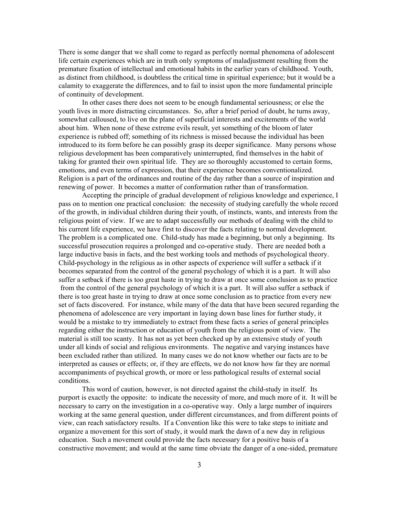There is some danger that we shall come to regard as perfectly normal phenomena of adolescent life certain experiences which are in truth only symptoms of maladjustment resulting from the premature fixation of intellectual and emotional habits in the earlier years of childhood. Youth, as distinct from childhood, is doubtless the critical time in spiritual experience; but it would be a calamity to exaggerate the differences, and to fail to insist upon the more fundamental principle of continuity of development.

In other cases there does not seem to be enough fundamental seriousness; or else the youth lives in more distracting circumstances. So, after a brief period of doubt, he turns away, somewhat calloused, to live on the plane of superficial interests and excitements of the world about him. When none of these extreme evils result, yet something of the bloom of later experience is rubbed off; something of its richness is missed because the individual has been introduced to its form before he can possibly grasp its deeper significance. Many persons whose religious development has been comparatively uninterrupted, find themselves in the habit of taking for granted their own spiritual life. They are so thoroughly accustomed to certain forms, emotions, and even terms of expression, that their experience becomes conventionalized. Religion is a part of the ordinances and routine of the day rather than a source of inspiration and renewing of power. It becomes a matter of conformation rather than of transformation.

Accepting the principle of gradual development of religious knowledge and experience, I pass on to mention one practical conclusion: the necessity of studying carefully the whole record of the growth, in individual children during their youth, of instincts, wants, and interests from the religious point of view. If we are to adapt successfully our methods of dealing with the child to his current life experience, we have first to discover the facts relating to normal development. The problem is a complicated one. Child-study has made a beginning, but only a beginning. Its successful prosecution requires a prolonged and co-operative study. There are needed both a large inductive basis in facts, and the best working tools and methods of psychological theory. Child-psychology in the religious as in other aspects of experience will suffer a setback if it becomes separated from the control of the general psychology of which it is a part. It will also suffer a setback if there is too great haste in trying to draw at once some conclusion as to practice from the control of the general psychology of which it is a part. It will also suffer a setback if there is too great haste in trying to draw at once some conclusion as to practice from every new set of facts discovered. For instance, while many of the data that have been secured regarding the phenomena of adolescence are very important in laying down base lines for further study, it would be a mistake to try immediately to extract from these facts a series of general principles regarding either the instruction or education of youth from the religious point of view. The material is still too scanty. It has not as yet been checked up by an extensive study of youth under all kinds of social and religious environments. The negative and varying instances have been excluded rather than utilized. In many cases we do not know whether our facts are to be interpreted as causes or effects; or, if they are effects, we do not know how far they are normal accompaniments of psychical growth, or more or less pathological results of external social conditions.

This word of caution, however, is not directed against the child-study in itself. Its purport is exactly the opposite: to indicate the necessity of more, and much more of it. It will be necessary to carry on the investigation in a co-operative way. Only a large number of inquirers working at the same general question, under different circumstances, and from different points of view, can reach satisfactory results. If a Convention like this were to take steps to initiate and organize a movement for this sort of study, it would mark the dawn of a new day in religious education. Such a movement could provide the facts necessary for a positive basis of a constructive movement; and would at the same time obviate the danger of a one-sided, premature